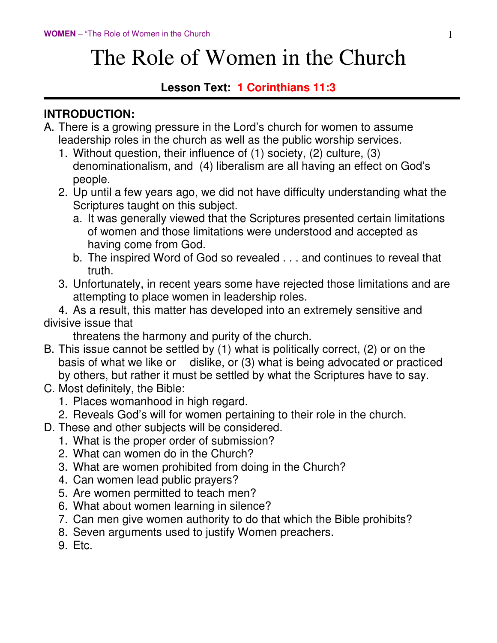# The Role of Women in the Church

#### **Lesson Text: 1 Corinthians 11:3**

#### **INTRODUCTION:**

- A. There is a growing pressure in the Lord's church for women to assume leadership roles in the church as well as the public worship services.
	- 1. Without question, their influence of (1) society, (2) culture, (3) denominationalism, and (4) liberalism are all having an effect on God's people.
	- 2. Up until a few years ago, we did not have difficulty understanding what the Scriptures taught on this subject.
		- a. It was generally viewed that the Scriptures presented certain limitations of women and those limitations were understood and accepted as having come from God.
		- b. The inspired Word of God so revealed . . . and continues to reveal that truth.
	- 3. Unfortunately, in recent years some have rejected those limitations and are attempting to place women in leadership roles.

 4. As a result, this matter has developed into an extremely sensitive and divisive issue that

threatens the harmony and purity of the church.

- B. This issue cannot be settled by (1) what is politically correct, (2) or on the basis of what we like or dislike, or (3) what is being advocated or practiced by others, but rather it must be settled by what the Scriptures have to say.
- C. Most definitely, the Bible:
	- 1. Places womanhood in high regard.
	- 2. Reveals God's will for women pertaining to their role in the church.
- D. These and other subjects will be considered.
	- 1. What is the proper order of submission?
	- 2. What can women do in the Church?
	- 3. What are women prohibited from doing in the Church?
	- 4. Can women lead public prayers?
	- 5. Are women permitted to teach men?
	- 6. What about women learning in silence?
	- 7. Can men give women authority to do that which the Bible prohibits?
	- 8. Seven arguments used to justify Women preachers.
	- 9. Etc.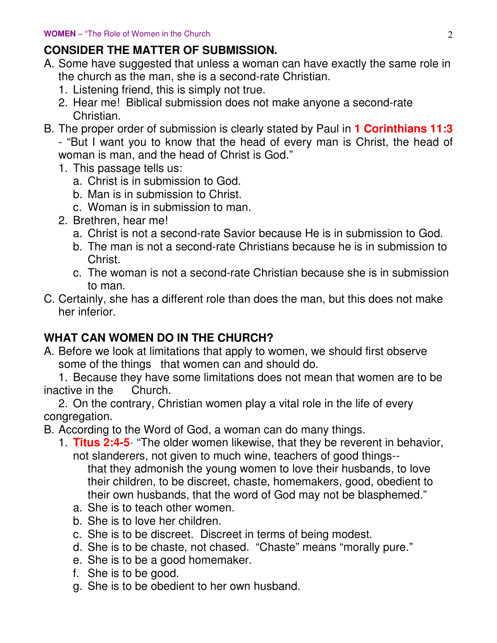# **CONSIDER THE MATTER OF SUBMISSION.**

- A. Some have suggested that unless a woman can have exactly the same role in the church as the man, she is a second-rate Christian.
	- 1. Listening friend, this is simply not true.
	- 2. Hear me! Biblical submission does not make anyone a second-rate Christian.
- B. The proper order of submission is clearly stated by Paul in **1 Corinthians 11:3**

- "But I want you to know that the head of every man is Christ, the head of woman is man, and the head of Christ is God."

- 1. This passage tells us:
	- a. Christ is in submission to God.
	- b. Man is in submission to Christ.
	- c. Woman is in submission to man.
- 2. Brethren, hear me!
	- a. Christ is not a second-rate Savior because He is in submission to God.
	- b. The man is not a second-rate Christians because he is in submission to Christ.
	- c. The woman is not a second-rate Christian because she is in submission to man.
- C. Certainly, she has a different role than does the man, but this does not make her inferior.

# **WHAT CAN WOMEN DO IN THE CHURCH?**

A. Before we look at limitations that apply to women, we should first observe some of the things that women can and should do.

 1. Because they have some limitations does not mean that women are to be inactive in the Church.

 2. On the contrary, Christian women play a vital role in the life of every congregation.

B. According to the Word of God, a woman can do many things.

 1. **Titus 2:4-5**- "The older women likewise, that they be reverent in behavior, not slanderers, not given to much wine, teachers of good things--

 that they admonish the young women to love their husbands, to love their children, to be discreet, chaste, homemakers, good, obedient to their own husbands, that the word of God may not be blasphemed."

- a. She is to teach other women.
- b. She is to love her children.
- c. She is to be discreet. Discreet in terms of being modest.
- d. She is to be chaste, not chased. "Chaste" means "morally pure."
- e. She is to be a good homemaker.
- f. She is to be good.
- g. She is to be obedient to her own husband.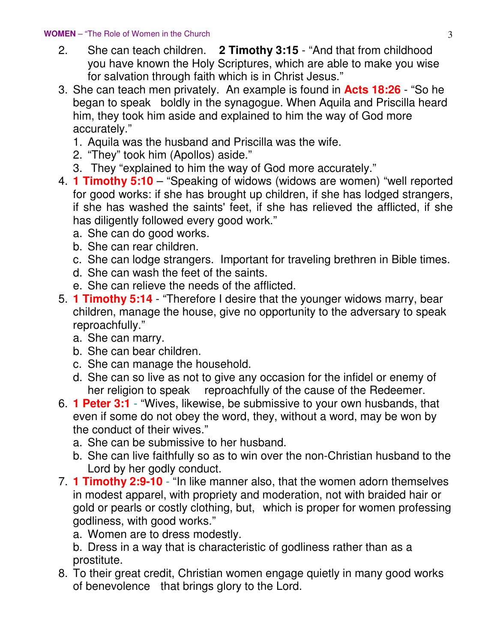#### **WOMEN** – "The Role of Women in the Church 33

- 2. She can teach children. **2 Timothy 3:15** "And that from childhood you have known the Holy Scriptures, which are able to make you wise for salvation through faith which is in Christ Jesus."
- 3. She can teach men privately. An example is found in **Acts 18:26** "So he began to speak boldly in the synagogue. When Aquila and Priscilla heard him, they took him aside and explained to him the way of God more accurately."
	- 1. Aquila was the husband and Priscilla was the wife.
	- 2. "They" took him (Apollos) aside."
	- 3. They "explained to him the way of God more accurately."
- 4. **1 Timothy 5:10** "Speaking of widows (widows are women) "well reported for good works: if she has brought up children, if she has lodged strangers, if she has washed the saints' feet, if she has relieved the afflicted, if she has diligently followed every good work."
	- a. She can do good works.
	- b. She can rear children.
	- c. She can lodge strangers. Important for traveling brethren in Bible times.
	- d. She can wash the feet of the saints.
	- e. She can relieve the needs of the afflicted.
- 5. **1 Timothy 5:14** "Therefore I desire that the younger widows marry, bear children, manage the house, give no opportunity to the adversary to speak reproachfully."
	- a. She can marry.
	- b. She can bear children.
	- c. She can manage the household.
	- d. She can so live as not to give any occasion for the infidel or enemy of her religion to speak reproachfully of the cause of the Redeemer.
- 6. **1 Peter 3:1** "Wives, likewise, be submissive to your own husbands, that even if some do not obey the word, they, without a word, may be won by the conduct of their wives."
	- a. She can be submissive to her husband.
	- b. She can live faithfully so as to win over the non-Christian husband to the Lord by her godly conduct.
- 7. **1 Timothy 2:9-10** "In like manner also, that the women adorn themselves in modest apparel, with propriety and moderation, not with braided hair or gold or pearls or costly clothing, but, which is proper for women professing godliness, with good works."
	- a. Women are to dress modestly.

 b. Dress in a way that is characteristic of godliness rather than as a prostitute.

 8. To their great credit, Christian women engage quietly in many good works of benevolence that brings glory to the Lord.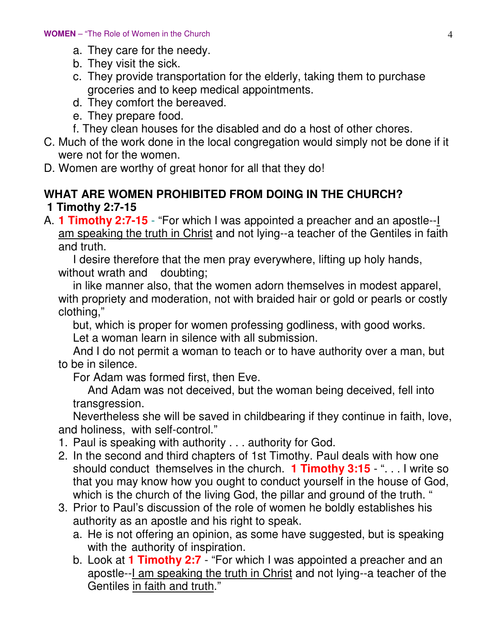- a. They care for the needy.
- b. They visit the sick.
- c. They provide transportation for the elderly, taking them to purchase groceries and to keep medical appointments.
- d. They comfort the bereaved.
- e. They prepare food.
- f. They clean houses for the disabled and do a host of other chores.
- C. Much of the work done in the local congregation would simply not be done if it were not for the women.
- D. Women are worthy of great honor for all that they do!

#### **WHAT ARE WOMEN PROHIBITED FROM DOING IN THE CHURCH? 1 Timothy 2:7-15**

A. **1 Timothy 2:7-15** - "For which I was appointed a preacher and an apostle--I am speaking the truth in Christ and not lying--a teacher of the Gentiles in faith and truth.

 I desire therefore that the men pray everywhere, lifting up holy hands, without wrath and doubting;

 in like manner also, that the women adorn themselves in modest apparel, with propriety and moderation, not with braided hair or gold or pearls or costly clothing,"

 but, which is proper for women professing godliness, with good works. Let a woman learn in silence with all submission.

 And I do not permit a woman to teach or to have authority over a man, but to be in silence.

For Adam was formed first, then Eve.

 And Adam was not deceived, but the woman being deceived, fell into transgression.

 Nevertheless she will be saved in childbearing if they continue in faith, love, and holiness, with self-control."

- 1. Paul is speaking with authority . . . authority for God.
- 2. In the second and third chapters of 1st Timothy. Paul deals with how one should conduct themselves in the church. **1 Timothy 3:15** - ". . . I write so that you may know how you ought to conduct yourself in the house of God, which is the church of the living God, the pillar and ground of the truth. "
- 3. Prior to Paul's discussion of the role of women he boldly establishes his authority as an apostle and his right to speak.
	- a. He is not offering an opinion, as some have suggested, but is speaking with the authority of inspiration.
	- b. Look at **1 Timothy 2:7** "For which I was appointed a preacher and an apostle--I am speaking the truth in Christ and not lying--a teacher of the Gentiles in faith and truth."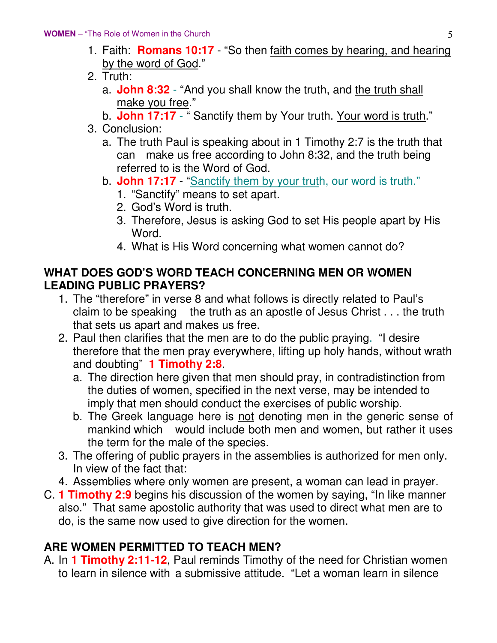- 1. Faith: **Romans 10:17** "So then faith comes by hearing, and hearing by the word of God."
- 2. Truth:
	- a. **John 8:32** "And you shall know the truth, and the truth shall make you free."
	- b. **John 17:17** " Sanctify them by Your truth. Your word is truth."
- 3. Conclusion:
	- a. The truth Paul is speaking about in 1 Timothy 2:7 is the truth that can make us free according to John 8:32, and the truth being referred to is the Word of God.
	- b. **John 17:17** "Sanctify them by your truth, our word is truth."
		- 1. "Sanctify" means to set apart.
		- 2. God's Word is truth.
		- 3. Therefore, Jesus is asking God to set His people apart by His Word.
		- 4. What is His Word concerning what women cannot do?

#### **WHAT DOES GOD'S WORD TEACH CONCERNING MEN OR WOMEN LEADING PUBLIC PRAYERS?**

- 1. The "therefore" in verse 8 and what follows is directly related to Paul's claim to be speaking the truth as an apostle of Jesus Christ . . . the truth that sets us apart and makes us free.
- 2. Paul then clarifies that the men are to do the public praying. "I desire therefore that the men pray everywhere, lifting up holy hands, without wrath and doubting" **1 Timothy 2:8**.
	- a. The direction here given that men should pray, in contradistinction from the duties of women, specified in the next verse, may be intended to imply that men should conduct the exercises of public worship.
	- b. The Greek language here is not denoting men in the generic sense of mankind which would include both men and women, but rather it uses the term for the male of the species.
- 3. The offering of public prayers in the assemblies is authorized for men only. In view of the fact that:
- 4. Assemblies where only women are present, a woman can lead in prayer.
- C. **1 Timothy 2:9** begins his discussion of the women by saying, "In like manner also." That same apostolic authority that was used to direct what men are to do, is the same now used to give direction for the women.

### **ARE WOMEN PERMITTED TO TEACH MEN?**

A. In **1 Timothy 2:11-12**, Paul reminds Timothy of the need for Christian women to learn in silence with a submissive attitude. "Let a woman learn in silence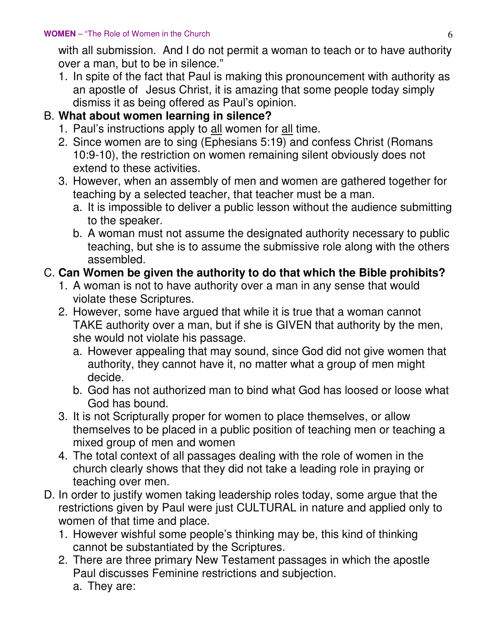with all submission. And I do not permit a woman to teach or to have authority over a man, but to be in silence."

 1. In spite of the fact that Paul is making this pronouncement with authority as an apostle of Jesus Christ, it is amazing that some people today simply dismiss it as being offered as Paul's opinion.

#### B. **What about women learning in silence?**

- 1. Paul's instructions apply to all women for all time.
- 2. Since women are to sing (Ephesians 5:19) and confess Christ (Romans 10:9-10), the restriction on women remaining silent obviously does not extend to these activities.
- 3. However, when an assembly of men and women are gathered together for teaching by a selected teacher, that teacher must be a man.
	- a. It is impossible to deliver a public lesson without the audience submitting to the speaker.
	- b. A woman must not assume the designated authority necessary to public teaching, but she is to assume the submissive role along with the others assembled.

#### C. **Can Women be given the authority to do that which the Bible prohibits?**

- 1. A woman is not to have authority over a man in any sense that would violate these Scriptures.
- 2. However, some have argued that while it is true that a woman cannot TAKE authority over a man, but if she is GIVEN that authority by the men, she would not violate his passage.
	- a. However appealing that may sound, since God did not give women that authority, they cannot have it, no matter what a group of men might decide.
	- b. God has not authorized man to bind what God has loosed or loose what God has bound.
- 3. It is not Scripturally proper for women to place themselves, or allow themselves to be placed in a public position of teaching men or teaching a mixed group of men and women
- 4. The total context of all passages dealing with the role of women in the church clearly shows that they did not take a leading role in praying or teaching over men.
- D. In order to justify women taking leadership roles today, some argue that the restrictions given by Paul were just CULTURAL in nature and applied only to women of that time and place.
	- 1. However wishful some people's thinking may be, this kind of thinking cannot be substantiated by the Scriptures.
	- 2. There are three primary New Testament passages in which the apostle Paul discusses Feminine restrictions and subjection.
		- a. They are: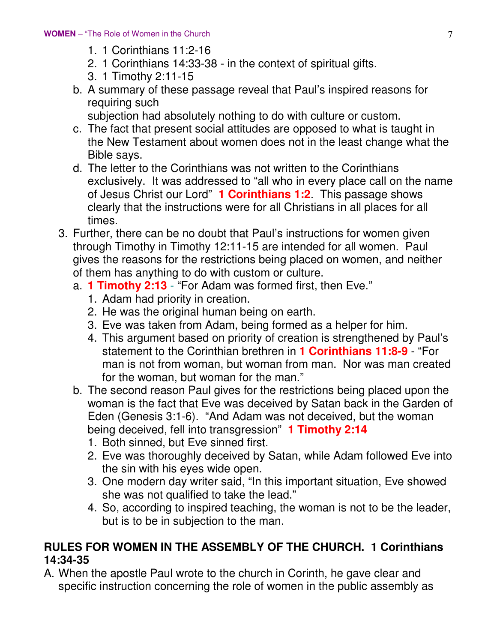- 1. 1 Corinthians 11:2-16
- 2. 1 Corinthians 14:33-38 in the context of spiritual gifts.
- 3. 1 Timothy 2:11-15
- b. A summary of these passage reveal that Paul's inspired reasons for requiring such
	- subjection had absolutely nothing to do with culture or custom.
- c. The fact that present social attitudes are opposed to what is taught in the New Testament about women does not in the least change what the Bible says.
- d. The letter to the Corinthians was not written to the Corinthians exclusively. It was addressed to "all who in every place call on the name of Jesus Christ our Lord" **1 Corinthians 1:2**. This passage shows clearly that the instructions were for all Christians in all places for all times.
- 3. Further, there can be no doubt that Paul's instructions for women given through Timothy in Timothy 12:11-15 are intended for all women. Paul gives the reasons for the restrictions being placed on women, and neither of them has anything to do with custom or culture.
	- a. **1 Timothy 2:13** "For Adam was formed first, then Eve."
		- 1. Adam had priority in creation.
		- 2. He was the original human being on earth.
		- 3. Eve was taken from Adam, being formed as a helper for him.
		- 4. This argument based on priority of creation is strengthened by Paul's statement to the Corinthian brethren in **1 Corinthians 11:8-9** - "For man is not from woman, but woman from man. Nor was man created for the woman, but woman for the man."
	- b. The second reason Paul gives for the restrictions being placed upon the woman is the fact that Eve was deceived by Satan back in the Garden of Eden (Genesis 3:1-6). "And Adam was not deceived, but the woman being deceived, fell into transgression" **1 Timothy 2:14**
		- 1. Both sinned, but Eve sinned first.
		- 2. Eve was thoroughly deceived by Satan, while Adam followed Eve into the sin with his eyes wide open.
		- 3. One modern day writer said, "In this important situation, Eve showed she was not qualified to take the lead."
		- 4. So, according to inspired teaching, the woman is not to be the leader, but is to be in subjection to the man.

#### **RULES FOR WOMEN IN THE ASSEMBLY OF THE CHURCH. 1 Corinthians 14:34-35**

A. When the apostle Paul wrote to the church in Corinth, he gave clear and specific instruction concerning the role of women in the public assembly as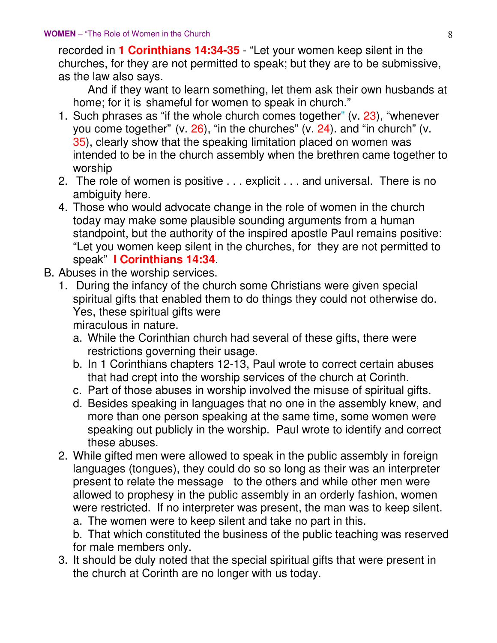recorded in **1 Corinthians 14:34-35** - "Let your women keep silent in the churches, for they are not permitted to speak; but they are to be submissive, as the law also says.

 And if they want to learn something, let them ask their own husbands at home; for it is shameful for women to speak in church."

- 1. Such phrases as "if the whole church comes together" (v. 23), "whenever you come together" (v. 26), "in the churches" (v. 24). and "in church" (v. 35), clearly show that the speaking limitation placed on women was intended to be in the church assembly when the brethren came together to worship
- 2. The role of women is positive . . . explicit . . . and universal. There is no ambiguity here.
- 4. Those who would advocate change in the role of women in the church today may make some plausible sounding arguments from a human standpoint, but the authority of the inspired apostle Paul remains positive: "Let you women keep silent in the churches, for they are not permitted to speak" **I Corinthians 14:34**.
- B. Abuses in the worship services.
	- 1. During the infancy of the church some Christians were given special spiritual gifts that enabled them to do things they could not otherwise do. Yes, these spiritual gifts were miraculous in nature.
		- a. While the Corinthian church had several of these gifts, there were restrictions governing their usage.
		- b. In 1 Corinthians chapters 12-13, Paul wrote to correct certain abuses that had crept into the worship services of the church at Corinth.
		- c. Part of those abuses in worship involved the misuse of spiritual gifts.
		- d. Besides speaking in languages that no one in the assembly knew, and more than one person speaking at the same time, some women were speaking out publicly in the worship. Paul wrote to identify and correct these abuses.
	- 2. While gifted men were allowed to speak in the public assembly in foreign languages (tongues), they could do so so long as their was an interpreter present to relate the message to the others and while other men were allowed to prophesy in the public assembly in an orderly fashion, women were restricted. If no interpreter was present, the man was to keep silent.

a. The women were to keep silent and take no part in this.

 b. That which constituted the business of the public teaching was reserved for male members only.

 3. It should be duly noted that the special spiritual gifts that were present in the church at Corinth are no longer with us today.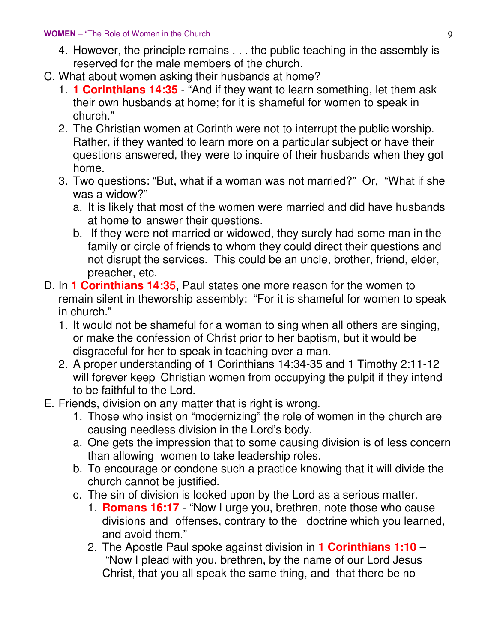- 4. However, the principle remains . . . the public teaching in the assembly is reserved for the male members of the church.
- C. What about women asking their husbands at home?
	- 1. **1 Corinthians 14:35** "And if they want to learn something, let them ask their own husbands at home; for it is shameful for women to speak in church."
	- 2. The Christian women at Corinth were not to interrupt the public worship. Rather, if they wanted to learn more on a particular subject or have their questions answered, they were to inquire of their husbands when they got home.
	- 3. Two questions: "But, what if a woman was not married?" Or, "What if she was a widow?"
		- a. It is likely that most of the women were married and did have husbands at home to answer their questions.
		- b. If they were not married or widowed, they surely had some man in the family or circle of friends to whom they could direct their questions and not disrupt the services. This could be an uncle, brother, friend, elder, preacher, etc.
- D. In **1 Corinthians 14:35**, Paul states one more reason for the women to remain silent in theworship assembly: "For it is shameful for women to speak in church."
	- 1. It would not be shameful for a woman to sing when all others are singing, or make the confession of Christ prior to her baptism, but it would be disgraceful for her to speak in teaching over a man.
	- 2. A proper understanding of 1 Corinthians 14:34-35 and 1 Timothy 2:11-12 will forever keep Christian women from occupying the pulpit if they intend to be faithful to the Lord.
- E. Friends, division on any matter that is right is wrong.
	- 1. Those who insist on "modernizing" the role of women in the church are causing needless division in the Lord's body.
	- a. One gets the impression that to some causing division is of less concern than allowing women to take leadership roles.
	- b. To encourage or condone such a practice knowing that it will divide the church cannot be justified.
	- c. The sin of division is looked upon by the Lord as a serious matter.
		- 1. **Romans 16:17**  "Now I urge you, brethren, note those who cause divisions and offenses, contrary to the doctrine which you learned, and avoid them."
		- 2. The Apostle Paul spoke against division in **1 Corinthians 1:10** "Now I plead with you, brethren, by the name of our Lord Jesus Christ, that you all speak the same thing, and that there be no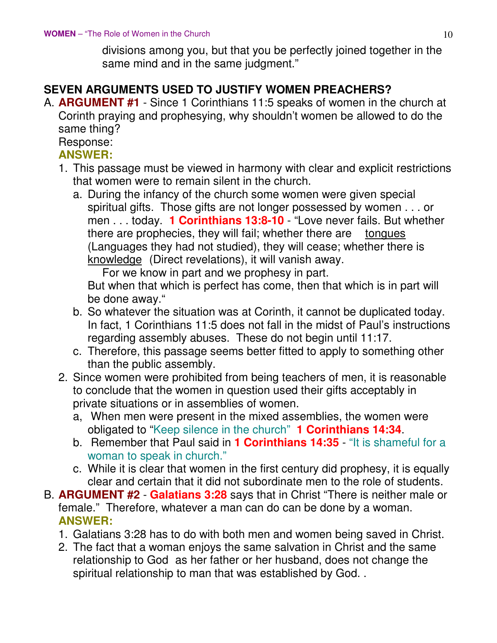divisions among you, but that you be perfectly joined together in the same mind and in the same judgment."

### **SEVEN ARGUMENTS USED TO JUSTIFY WOMEN PREACHERS?**

A. **ARGUMENT #1** - Since 1 Corinthians 11:5 speaks of women in the church at Corinth praying and prophesying, why shouldn't women be allowed to do the same thing?

Response:

#### **ANSWER:**

- 1. This passage must be viewed in harmony with clear and explicit restrictions that women were to remain silent in the church.
	- a. During the infancy of the church some women were given special spiritual gifts. Those gifts are not longer possessed by women . . . or men . . . today. **1 Corinthians 13:8-10** - "Love never fails. But whether there are prophecies, they will fail; whether there are tongues (Languages they had not studied), they will cease; whether there is knowledge (Direct revelations), it will vanish away.

For we know in part and we prophesy in part.

 But when that which is perfect has come, then that which is in part will be done away."

- b. So whatever the situation was at Corinth, it cannot be duplicated today. In fact, 1 Corinthians 11:5 does not fall in the midst of Paul's instructions regarding assembly abuses. These do not begin until 11:17.
- c. Therefore, this passage seems better fitted to apply to something other than the public assembly.
- 2. Since women were prohibited from being teachers of men, it is reasonable to conclude that the women in question used their gifts acceptably in private situations or in assemblies of women.
	- a, When men were present in the mixed assemblies, the women were obligated to "Keep silence in the church" **1 Corinthians 14:34**.
	- b. Remember that Paul said in **1 Corinthians 14:35** "It is shameful for a woman to speak in church."
	- c. While it is clear that women in the first century did prophesy, it is equally clear and certain that it did not subordinate men to the role of students.
- B. **ARGUMENT #2 Galatians 3:28** says that in Christ "There is neither male or female." Therefore, whatever a man can do can be done by a woman. **ANSWER:**
	- 1. Galatians 3:28 has to do with both men and women being saved in Christ.
	- 2. The fact that a woman enjoys the same salvation in Christ and the same relationship to God as her father or her husband, does not change the spiritual relationship to man that was established by God. .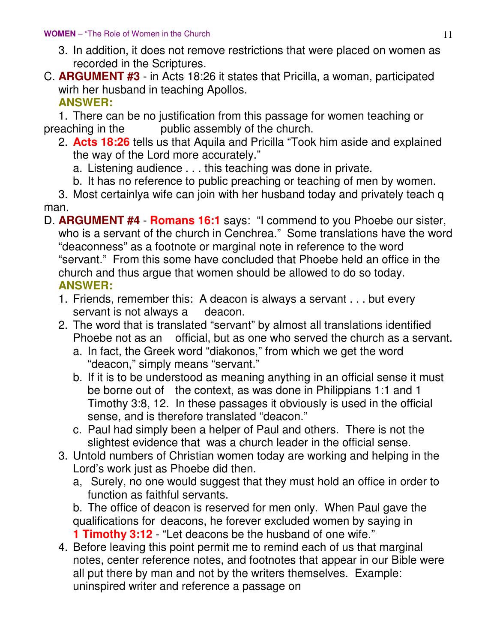- 3. In addition, it does not remove restrictions that were placed on women as recorded in the Scriptures.
- C. **ARGUMENT #3** in Acts 18:26 it states that Pricilla, a woman, participated wirh her husband in teaching Apollos. **ANSWER:**

 1. There can be no justification from this passage for women teaching or preaching in the public assembly of the church.

- 2. **Acts 18:26** tells us that Aquila and Pricilla "Took him aside and explained the way of the Lord more accurately."
	- a. Listening audience . . . this teaching was done in private.
	- b. It has no reference to public preaching or teaching of men by women.

 3. Most certainlya wife can join with her husband today and privately teach q man.

- D. **ARGUMENT #4 Romans 16:1** says: "I commend to you Phoebe our sister, who is a servant of the church in Cenchrea." Some translations have the word "deaconness" as a footnote or marginal note in reference to the word "servant." From this some have concluded that Phoebe held an office in the church and thus argue that women should be allowed to do so today. **ANSWER:**
	- 1. Friends, remember this: A deacon is always a servant . . . but every servant is not always a deacon.
	- 2. The word that is translated "servant" by almost all translations identified Phoebe not as an official, but as one who served the church as a servant.
		- a. In fact, the Greek word "diakonos," from which we get the word "deacon," simply means "servant."
		- b. If it is to be understood as meaning anything in an official sense it must be borne out of the context, as was done in Philippians 1:1 and 1 Timothy 3:8, 12. In these passages it obviously is used in the official sense, and is therefore translated "deacon."
		- c. Paul had simply been a helper of Paul and others. There is not the slightest evidence that was a church leader in the official sense.
	- 3. Untold numbers of Christian women today are working and helping in the Lord's work just as Phoebe did then.
		- a, Surely, no one would suggest that they must hold an office in order to function as faithful servants.
		- b. The office of deacon is reserved for men only. When Paul gave the qualifications for deacons, he forever excluded women by saying in **1 Timothy 3:12** - "Let deacons be the husband of one wife."
	- 4. Before leaving this point permit me to remind each of us that marginal notes, center reference notes, and footnotes that appear in our Bible were all put there by man and not by the writers themselves. Example: uninspired writer and reference a passage on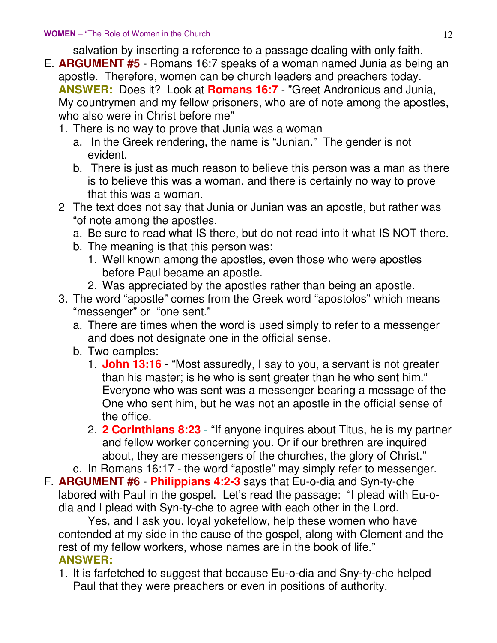salvation by inserting a reference to a passage dealing with only faith.

- E. **ARGUMENT #5** Romans 16:7 speaks of a woman named Junia as being an apostle. Therefore, women can be church leaders and preachers today. **ANSWER:** Does it? Look at **Romans 16:7** - "Greet Andronicus and Junia, My countrymen and my fellow prisoners, who are of note among the apostles, who also were in Christ before me"
	- 1. There is no way to prove that Junia was a woman
		- a. In the Greek rendering, the name is "Junian." The gender is not evident.
		- b. There is just as much reason to believe this person was a man as there is to believe this was a woman, and there is certainly no way to prove that this was a woman.
	- 2 The text does not say that Junia or Junian was an apostle, but rather was "of note among the apostles.
		- a. Be sure to read what IS there, but do not read into it what IS NOT there.
		- b. The meaning is that this person was:
			- 1. Well known among the apostles, even those who were apostles before Paul became an apostle.
			- 2. Was appreciated by the apostles rather than being an apostle.
	- 3. The word "apostle" comes from the Greek word "apostolos" which means "messenger" or "one sent."
		- a. There are times when the word is used simply to refer to a messenger and does not designate one in the official sense.
		- b. Two eamples:
			- 1. **John 13:16** "Most assuredly, I say to you, a servant is not greater than his master; is he who is sent greater than he who sent him." Everyone who was sent was a messenger bearing a message of the One who sent him, but he was not an apostle in the official sense of the office.
			- 2. **2 Corinthians 8:23** "If anyone inquires about Titus, he is my partner and fellow worker concerning you. Or if our brethren are inquired about, they are messengers of the churches, the glory of Christ."

c. In Romans 16:17 - the word "apostle" may simply refer to messenger.

F. **ARGUMENT #6** - **Philippians 4:2-3** says that Eu-o-dia and Syn-ty-che labored with Paul in the gospel. Let's read the passage: "I plead with Eu-odia and I plead with Syn-ty-che to agree with each other in the Lord.

 Yes, and I ask you, loyal yokefellow, help these women who have contended at my side in the cause of the gospel, along with Clement and the rest of my fellow workers, whose names are in the book of life." **ANSWER:**

 1. It is farfetched to suggest that because Eu-o-dia and Sny-ty-che helped Paul that they were preachers or even in positions of authority.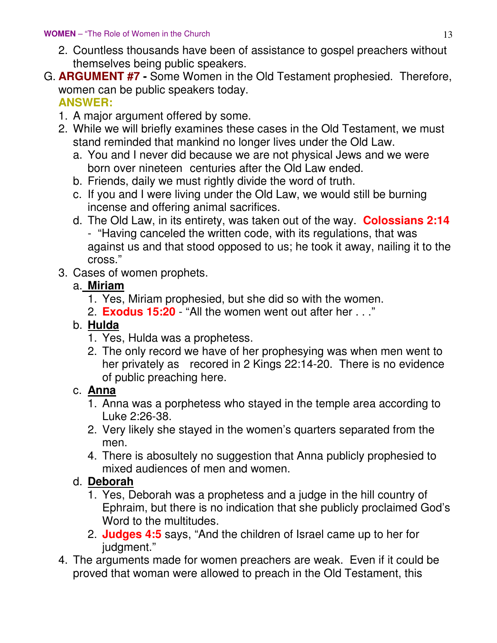- 2. Countless thousands have been of assistance to gospel preachers without themselves being public speakers.
- G. **ARGUMENT #7 -** Some Women in the Old Testament prophesied. Therefore, women can be public speakers today.  **ANSWER:**
	- 1. A major argument offered by some.
	- 2. While we will briefly examines these cases in the Old Testament, we must stand reminded that mankind no longer lives under the Old Law.
		- a. You and I never did because we are not physical Jews and we were born over nineteen centuries after the Old Law ended.
		- b. Friends, daily we must rightly divide the word of truth.
		- c. If you and I were living under the Old Law, we would still be burning incense and offering animal sacrifices.
		- d. The Old Law, in its entirety, was taken out of the way. **Colossians 2:14**
			- "Having canceled the written code, with its regulations, that was against us and that stood opposed to us; he took it away, nailing it to the cross."
	- 3. Cases of women prophets.

### a. **Miriam**

- 1. Yes, Miriam prophesied, but she did so with the women.
- 2. **Exodus 15:20**  "All the women went out after her . . ."

# b. **Hulda**

- 1. Yes, Hulda was a prophetess.
- 2. The only record we have of her prophesying was when men went to her privately as recored in 2 Kings 22:14-20. There is no evidence of public preaching here.

# c. **Anna**

- 1. Anna was a porphetess who stayed in the temple area according to Luke 2:26-38.
- 2. Very likely she stayed in the women's quarters separated from the men.
- 4. There is abosultely no suggestion that Anna publicly prophesied to mixed audiences of men and women.

# d. **Deborah**

- 1. Yes, Deborah was a prophetess and a judge in the hill country of Ephraim, but there is no indication that she publicly proclaimed God's Word to the multitudes.
- 2. **Judges 4:5** says, "And the children of Israel came up to her for judgment."
- 4. The arguments made for women preachers are weak. Even if it could be proved that woman were allowed to preach in the Old Testament, this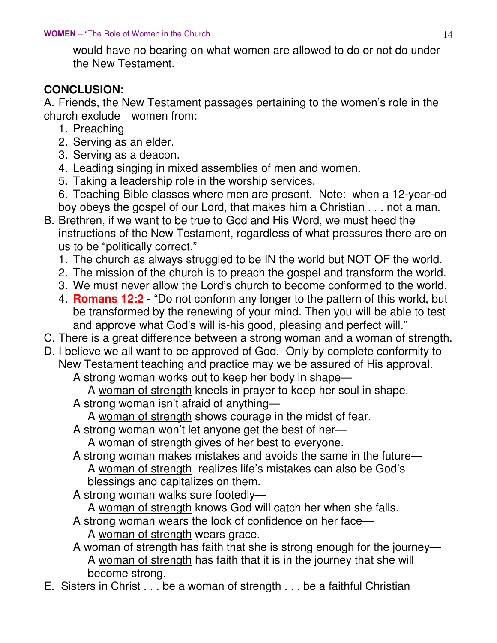would have no bearing on what women are allowed to do or not do under the New Testament.

#### **CONCLUSION:**

A. Friends, the New Testament passages pertaining to the women's role in the church exclude women from:

- 1. Preaching
- 2. Serving as an elder.
- 3. Serving as a deacon.
- 4. Leading singing in mixed assemblies of men and women.
- 5. Taking a leadership role in the worship services.
- 6. Teaching Bible classes where men are present. Note: when a 12-year-od boy obeys the gospel of our Lord, that makes him a Christian . . . not a man.
- B. Brethren, if we want to be true to God and His Word, we must heed the instructions of the New Testament, regardless of what pressures there are on us to be "politically correct."
	- 1. The church as always struggled to be IN the world but NOT OF the world.
	- 2. The mission of the church is to preach the gospel and transform the world.
	- 3. We must never allow the Lord's church to become conformed to the world.
	- 4. **Romans 12:2** "Do not conform any longer to the pattern of this world, but be transformed by the renewing of your mind. Then you will be able to test and approve what God's will is-his good, pleasing and perfect will."
- C. There is a great difference between a strong woman and a woman of strength.
- D. I believe we all want to be approved of God. Only by complete conformity to New Testament teaching and practice may we be assured of His approval.

A strong woman works out to keep her body in shape—

A woman of strength kneels in prayer to keep her soul in shape.

A strong woman isn't afraid of anything—

A woman of strength shows courage in the midst of fear.

A strong woman won't let anyone get the best of her—

A woman of strength gives of her best to everyone.

- A strong woman makes mistakes and avoids the same in the future— A woman of strength realizes life's mistakes can also be God's blessings and capitalizes on them.
- A strong woman walks sure footedly—
	- A woman of strength knows God will catch her when she falls.
- A strong woman wears the look of confidence on her face— A woman of strength wears grace.
- A woman of strength has faith that she is strong enough for the journey— A woman of strength has faith that it is in the journey that she will become strong.
- E. Sisters in Christ . . . be a woman of strength . . . be a faithful Christian